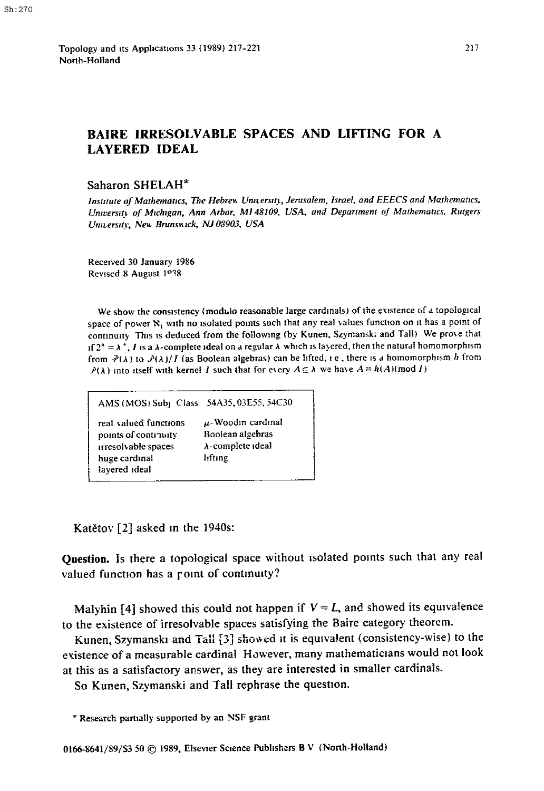Topology and its Applications 33 (1989) 217-221 North-Holland

## **BAIRE IRRESOLVABLE SPACES AND LIFTING FOR A LAYERED IDEAL**

## Saharon SHELAH\*

Institute of Mathematics, The Hebrew University, Jerusalem, Israel, and EEECS and Mathematics, University of Michigan, Ann Arbor, MI 48109, USA, and Department of Mathematics, Rutgers University, New Brunswick, NJ 03903, USA

Received 30 January 1986 Revised 8 August 1038

We show the consistency (modulo reasonable large cardinals) of the existence of a topological space of power N<sub>1</sub> with no isolated points such that any real values function on it has a point of continuity This is deduced from the following (by Kunen, Szymanski and Tall) We prove that If  $2^{\lambda} = \lambda^{+}$ , I is a  $\lambda$ -complete ideal on a regular  $\lambda$  which is layered, then the natural homomorphism from  $\mathcal{P}(\lambda)$  to  $\mathcal{P}(\lambda)/I$  (as Boolean algebras) can be lifted, i.e., there is a homomorphism h from  $P(\lambda)$  into itself with kernel I such that for every  $A \subseteq \lambda$  we have  $A = h(A)$  (mod I)

| AMS (MOS) Sub1 Class 54A35, 03E55, 54C30                                                               |                                                                           |
|--------------------------------------------------------------------------------------------------------|---------------------------------------------------------------------------|
| real valued functions<br>points of continuity<br>irresolvable spaces<br>huge cardinal<br>lavered ideal | $\mu$ -Woodin cardinal<br>Boolean algebras<br>λ-complete ideal<br>lıftıng |

Katětov [2] asked in the 1940s:

Question. Is there a topological space without isolated points such that any real valued function has a roint of continuity?

Malyhin [4] showed this could not happen if  $V = L$ , and showed its equivalence to the existence of irresolvable spaces satisfying the Baire category theorem.

Kunen, Szymanski and Tall [3] showed it is equivalent (consistency-wise) to the existence of a measurable cardinal However, many mathematicians would not look at this as a satisfactory answer, as they are interested in smaller cardinals.

So Kunen, Szymanski and Tall rephrase the question.

\* Research partially supported by an NSF grant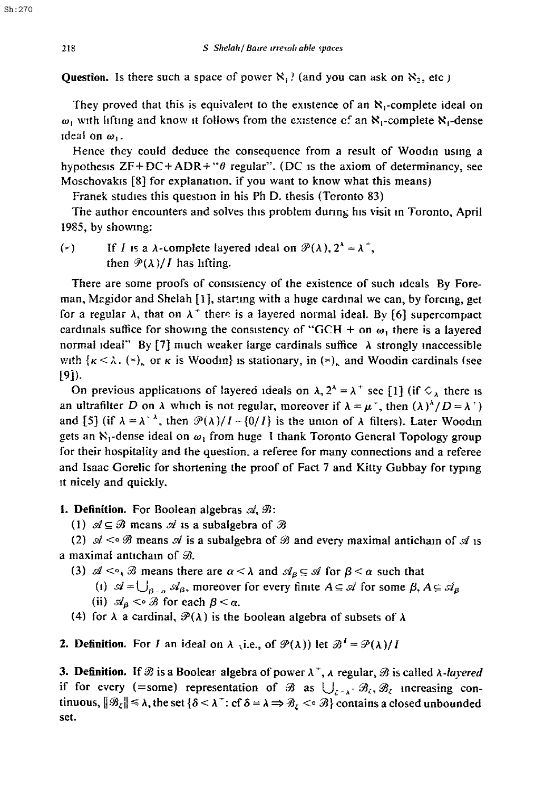Question. Is there such a space of power  $\aleph_1$ ? (and you can ask on  $\aleph_2$ , etc )

They proved that this is equivalent to the existence of an  $\aleph_1$ -complete ideal on  $\omega_1$  with lifting and know it follows from the existence cf an  $\aleph_1$ -complete  $\aleph_1$ -dense ideal on  $\omega_1$ .

Hence they could deduce the consequence from a result of Woodin using a hypothesis  $ZF+DC+ADR+``\theta$  regular". (DC is the axiom of determinancy, see Moschovakis [8] for explanation, if you want to know what this means)

Franek studies this question in his Ph D. thesis (Toronto 83)

The author encounters and solves this problem dunng his visit m Toronto, April 1985, by showing:

( $\epsilon$ ) If I is a  $\lambda$ -complete layered ideal on  $\mathcal{P}(\lambda)$ ,  $2^{\lambda} = \lambda^{\lambda}$ . then  $\mathcal{P}(\lambda)/I$  has lifting.

There are some proofs of consislency of the existence of such ideals By Foreman, Magidor and Shelah  $[1]$ , starting with a huge cardinal we can, by forcing, get for a regular  $\lambda$ , that on  $\lambda^+$  there is a layered normal ideal. By [6] supercompact cardinals suffice for showing the consistency of "GCH + on  $\omega_1$  there is a layered normal ideal" By [7] much weaker large cardinals suffice  $\lambda$  strongly inaccessible with  $\{\kappa < \lambda\}$ . ( $\times$ ), or  $\kappa$  is Woodin is stationary, in ( $\times$ ), and Woodin cardinals (see [9]).

On previous applications of layered ideals on  $\lambda$ ,  $2^{\lambda} = \lambda^{+}$  see [1] (if  $\Diamond_{\lambda}$  there is an ultrafilter D on  $\lambda$  which is not regular, moreover if  $\lambda = \mu^{+}$ , then  $(\lambda)^{\lambda}/D = \lambda^{+}$ and [5] (if  $\lambda = \lambda^{-\lambda}$ , then  $\mathcal{P}(\lambda)/I - \{0/I\}$  is the union of  $\lambda$  filters). Later Woodin gets an  $\aleph_1$ -dense ideal on  $\omega_1$  from huge I thank Toronto General Topology group for their hospitality and the question, a referee for many connections and a referee and Isaac Gorelic for shortening the proof of Fact 7 and Kitty Gubbay for typing it nicely and quickly.

## 1. Definition. For Boolean algebras  $\mathcal{A}, \mathcal{B}$ :

(1)  $\mathcal{A} \subseteq \mathcal{B}$  means  $\mathcal{A}$  is a subalgebra of  $\mathcal{B}$ 

(2)  $\mathcal{A} \leq \mathcal{B}$  means  $\mathcal{A}$  is a subalgebra of  $\mathcal{B}$  and every maximal anticham of  $\mathcal{A}$  is a maximal antichain of  $\mathcal{B}$ .

(3)  $\mathcal{A} \leq \infty$ ,  $\mathcal{B}$  means there are  $\alpha < \lambda$  and  $\mathcal{A}_{\beta} \subseteq \mathcal{A}$  for  $\beta < \alpha$  such that

(i)  $\mathcal{A}=\bigcup_{B\subseteq\mathcal{A}}\mathcal{A}_B$ , moreover for every finite  $A\subseteq\mathcal{A}$  for some  $\beta, A\subseteq\mathcal{A}_\beta$ 

(ii) 
$$
\mathcal{A}_{\beta} < \circ \mathcal{B}
$$
 for each  $\beta < \alpha$ .

(4) for  $\lambda$  a cardinal,  $\mathcal{P}(\lambda)$  is the boolean algebra of subsets of  $\lambda$ 

**2. Definition.** For I an ideal on  $\lambda$  (i.e., of  $\mathcal{P}(\lambda)$ ) let  $\mathcal{B}^1 = \mathcal{P}(\lambda)/I$ 

**3. Definition.** If  $\mathcal{B}$  is a Boolear algebra of power  $\lambda^{\dagger}$ ,  $\lambda$  regular,  $\mathcal{B}$  is called  $\lambda$ -layered if for every (=some) representation of  $\mathcal{B}$  as  $\bigcup_{z \in \Lambda^+} \mathcal{B}_z$ ,  $\mathcal{B}_z$  increasing continuous,  $||\mathcal{B}_{\zeta}|| \leq \lambda$ , the set  $\{\delta \leq \lambda^+ : \text{cf } \delta = \lambda \Rightarrow \mathcal{B}_{\zeta} \leq \delta \}$  contains a closed unbounded set.

Sh:270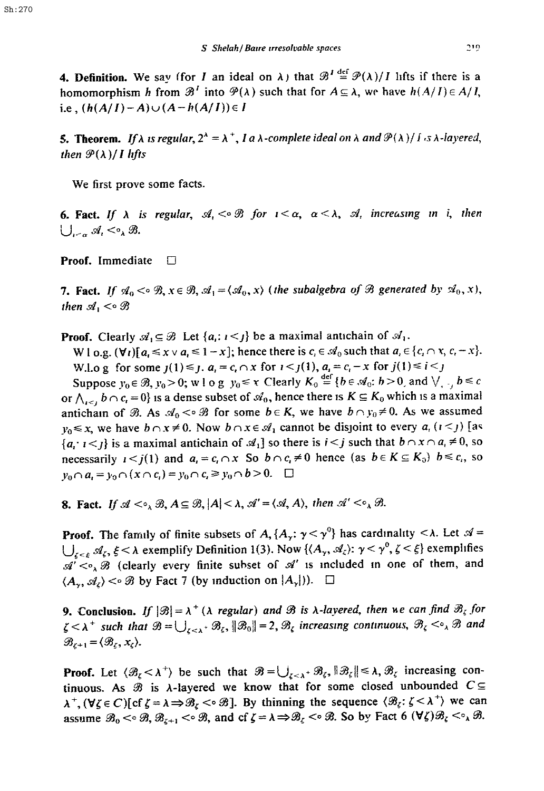**4. Definition.** We say (for *I* an ideal on  $\lambda$ ) that  $\mathcal{B}^I \stackrel{\text{def}}{=} \mathcal{P}(\lambda)/I$  lifts if there is a homomorphism h from  $\mathcal{B}^T$  into  $\mathcal{P}(\lambda)$  such that for  $A \subseteq \lambda$ , we have  $h(A/I) \in A/I$ , i.e,  $(h(A/I)-A)\cup (A-h(A/I))\in I$ 

**5. Theorem.** If  $\lambda$  is regular,  $2^{\lambda} = \lambda^+$ , I a  $\lambda$ -complete ideal on  $\lambda$  and  $\mathcal{P}(\lambda)/f$  *is*  $\lambda$ -layered, *then*  $\mathcal{P}(\lambda) / I$  *lifts* 

We first prove some facts.

**6. Fact.** If  $\lambda$  is regular,  $\mathcal{A}_1 < \circ \mathcal{B}$  for  $\iota < \alpha$ ,  $\alpha < \lambda$ ,  $\mathcal{A}_i$  increasing in i, then  $\bigcup_{i\leq \alpha} \mathcal{A}_i \leq \circ_{\lambda} \mathcal{B}.$ 

**Proof.** Immediate  $\Box$ 

7. Fact. If  $A_0 < \infty$   $\mathcal{B}, x \in \mathcal{B}, \mathcal{A}_1 = \langle \mathcal{A}_0, x \rangle$  (the subalgebra of  $\mathcal{B}$  generated by  $\mathcal{A}_0, x$ ), *then*  $\mathcal{A}_1 < \circ \mathcal{B}$ 

**Proof.** Clearly  $\mathcal{A}_1 \subseteq \mathcal{B}$  Let  $\{a_i : i \leq j\}$  be a maximal antichain of  $\mathcal{A}_1$ .

W 1 o.g.  $(\forall i)$  [ $a_i \leq x \vee a_j \leq 1-x$ ]; hence there is  $c_i \in \mathcal{A}_0$  such that  $a_i \in \{c_i \cap x, c_i - x\}$ . W.l.o g for some  $j(1) \le j$ .  $a_i = c_i \cap x$  for  $i \le j(1)$ ,  $a_i = c_i - x$  for  $j(1) \le i \le j$ 

Suppose  $y_0 \in \mathcal{B}$ ,  $y_0 > 0$ ; w l o g  $y_0 \le \tau$  Clearly  $K_0 \stackrel{\text{def}}{=} \{b \in \mathcal{A}_0 : b > 0 \text{ and } \vee \ldots \}$ or  $\bigwedge_{i\leq l} b\cap c_i = 0$ } is a dense subset of  $\mathcal{A}_0$ , hence there is  $K \subseteq K_0$  which is a maximal anticham of  $\mathcal{B}$ . As  $\mathcal{A}_0 \leq \mathcal{B}$  for some  $b \in K$ , we have  $b \cap y_0 \neq 0$ . As we assumed  $y_0 \le x$ , we have  $b \cap x \ne 0$ . Now  $b \cap x \in \mathcal{A}_1$  cannot be disjoint to every  $a_i$  ( $i < j$ ) [as  $\{a_i : i < j\}$  is a maximal antichain of  $\mathcal{A}_1$  so there is  $i < j$  such that  $b \cap x \cap a_i \neq 0$ , so necessarily  $1 \le i(1)$  and  $a_i = c_i \cap x$  So  $b \cap c_i \ne 0$  hence (as  $b \in K \subseteq K_0$ )  $b \le c_i$ , so  $y_0 \cap a_i = y_0 \cap (x \cap c_i) = y_0 \cap c_i \ge y_0 \cap b > 0.$ 

**8. Fact.** *If*  $\mathcal{A} \leq \emptyset$ ,  $A \subseteq \mathcal{B}$ ,  $|A| < \lambda$ ,  $\mathcal{A}' = \langle \mathcal{A}, A \rangle$ , then  $\mathcal{A}' < \emptyset$ ,  $\mathcal{B}$ .

**Proof.** The family of finite subsets of  $A$ ,  $\{A_{\gamma} : \gamma < \gamma^0\}$  has cardinality  $\langle \lambda \rangle$ . Let  $\mathcal{A} =$  $\bigcup_{\zeta \leq \xi} \mathcal{A}_{\zeta}, \xi \leq \lambda$  exemplify Definition 1(3). Now  $\{\langle A_{\gamma}, \mathcal{A}_{\zeta}\rangle : \gamma \leq \gamma^0, \zeta \leq \xi\}$  exemplifies  $\mathscr{A}'<\circ_{\lambda}\mathscr{B}$  (clearly every finite subset of  $\mathscr{A}'$  is included in one of them, and  $\langle A_{\gamma}, \mathcal{A}_{\zeta} \rangle < \circ \mathcal{B}$  by Fact 7 (by induction on  $|A_{\gamma}|$ ).  $\square$ 

**9. Conclusion.** If  $|\mathcal{B}| = \lambda^+$  ( $\lambda$  *regular) and*  $\mathcal{B}$  *is*  $\lambda$ *-layered, then we can find*  $\mathcal{B}_\zeta$  for  $\zeta < \lambda^+$  such that  $\mathcal{B} = \bigcup_{\zeta < \lambda^+} \mathcal{B}_{\zeta}, \|\mathcal{B}_0\| = 2$ ,  $\mathcal{B}_{\zeta}$  increasing continuous,  $\mathcal{B}_{\zeta} < \infty$ ,  $\mathcal{B}$  and  $\mathscr{B}_{\ell+1} = \langle \mathscr{B}_{\ell}, x_{\ell} \rangle$ .

**Proof.** Let  $\langle \mathcal{B}_{\zeta} < \lambda^+ \rangle$  be such that  $\mathcal{B} = \bigcup_{\zeta < \lambda^+} \mathcal{B}_{\zeta} \|\mathcal{B}_{\zeta}\| \leq \lambda$ ,  $\mathcal{B}_{\zeta}$  increasing continuous. As  $\mathcal B$  is  $\lambda$ -layered we know that for some closed unbounded  $C \subseteq$  $\lambda^+$ ,  $(\forall \zeta \in C)$ [cf  $\zeta = \lambda \Rightarrow \mathcal{B}_{\zeta} < \infty$ ]. By thinning the sequence  $\langle \mathcal{B}_{\zeta} : \zeta < \lambda^+ \rangle$  we can assume  $\mathscr{B}_0 \leq \mathscr{B}, \mathscr{B}_{\zeta+1} \leq \mathscr{B}$ , and cf  $\zeta = \lambda \Rightarrow \mathscr{B}_{\zeta} \leq \mathscr{B}$ . So by Fact 6  $(\forall \zeta) \mathscr{B}_{\zeta} \leq \varphi_{\lambda} \mathscr{B}$ .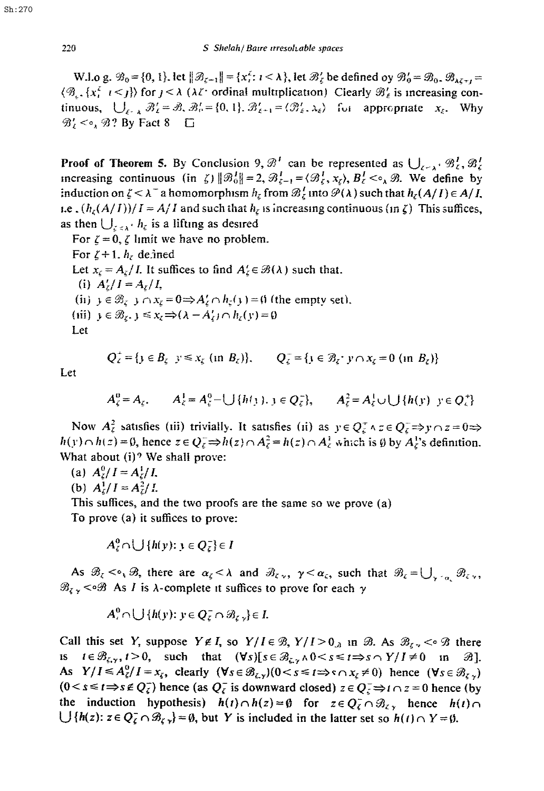W.l.o g.  $\mathcal{B}_0 = \{0, 1\}$ . let  $\|\mathcal{B}_{\zeta-1}\| = \{x_i^{\zeta}: i < \lambda\}$ , let  $\mathcal{B}_{\zeta}^{\prime}$  be defined oy  $\mathcal{B}_{0}^{\prime} = \mathcal{B}_{0}$ ,  $\mathcal{B}_{\lambda \zeta + i} =$  $\langle \mathcal{B}_{\zeta}, \{x_i^{\zeta} \mid i \leq j\} \rangle$  for  $j < \lambda$  ( $\lambda \zeta$  ordinal multiplication) Clearly  $\mathcal{B}_{\zeta}$  is increasing continuous,  $\bigcup_{\varepsilon \in \Lambda} \mathcal{B}'_k = \mathcal{B}, \mathcal{B}'_0 = \{0, 1\}$ .  $\mathcal{B}'_{\varepsilon+1} = \langle \mathcal{B}'_{\varepsilon}, \lambda_{\varepsilon} \rangle$  for appropriate  $x_{\varepsilon}$ . Why  $\mathcal{B}'_t \leq \circ_{\lambda} \mathcal{B}$ ? By Fact 8  $\Box$ 

**Proof of Theorem 5.** By Conclusion 9,  $\mathcal{B}'$  can be represented as  $\bigcup_{z\geq 1}$   $\mathcal{B}'_z$ ,  $\mathcal{B}'_z$ increasing continuous (in  $\zeta$ )  $||\mathcal{B}_0^I|| = 2$ ,  $\mathcal{B}_{\zeta-1}^I = \langle \mathcal{B}_{\zeta}^I, x_{\zeta} \rangle$ ,  $B_{\zeta}^I < \circ_{\lambda} \mathcal{B}$ . We define by induction on  $\zeta < \lambda^-$  a homomorphism  $h_\zeta$  from  $\mathcal{B}_\zeta^I$  into  $\mathcal{P}(\lambda)$  such that  $h_\zeta(A/I) \in A/I$ , *Le.*  $(h_r(A/I))/I = A/I$  and such that  $h_r$  is increasing continuous (in  $\zeta$ ) This suffices, as then  $\bigcup_{z\in A^+} h_z$  is a lifting as desired

For  $\zeta = 0$ ,  $\zeta$  limit we have no problem. For  $\zeta + 1$ ,  $h_{\zeta}$  defined Let  $x_{\zeta} = A_{\zeta}/I$ . It suffices to find  $A'_{\zeta} \in \mathcal{B}(\lambda)$  such that. (i)  $A'_r/I = A_r/I$ , (ii)  $y \in \mathcal{B}_c$   $\rightarrow \cap x_c = 0 \Rightarrow A'_c \cap h_c(y) = 0$  (the empty set). (iii)  $y \in \mathcal{B}_z$ ,  $y \leq x_z \Rightarrow (\lambda - A'_z) \cap h_z(y) = 0$ Let

$$
Q_{\zeta}^+ = \{ y \in B_{\zeta} \mid y \le x_{\zeta} \text{ (in } B_{\zeta}) \}, \qquad Q_{\zeta}^- = \{ y \in \mathcal{B}_{\zeta} \cdot y \cap x_{\zeta} = 0 \text{ (in } B_{\zeta}) \}
$$

Let

$$
A_{\zeta}^{0} = A_{\zeta}, \qquad A_{\zeta}^{1} = A_{\zeta}^{0} - \bigcup \{h(j), j \in Q_{\zeta}^{-}\}, \qquad A_{\zeta}^{2} = A_{\zeta}^{1} \cup \bigcup \{h(y) \ y \in Q_{\zeta}^{+}\}
$$

Now  $A_{\zeta}^2$  satisfies (iii) trivially. It satisfies (ii) as  $y \in Q_{\zeta}^T \wedge z \in Q_{\zeta}^- \Rightarrow y \cap z = 0 \Rightarrow$  $h(y) \cap h(z) = 0$ , hence  $z \in Q_{\zeta}^- \Rightarrow h(z) \cap A_{\zeta}^2 = h(z) \cap A_{\zeta}^1$ , which is  $\emptyset$  by  $A_{\zeta}^1$ 's definition. What about  $(i)$ ? We shall prove:

(a)  $A_{\ell}^0/I = A_{\ell}^1/I$ ,

(b)  $A^1_I/I = A^2_I/I$ .

This suffices, and the two proofs are the same so we prove (a)

To prove (a) it suffices to prove:

$$
A_{\zeta}^{0} \cap \bigcup \{h(y): y \in Q_{\zeta}^{-}\} \in I
$$

As  $\mathcal{B}_{\zeta} \leq \gamma \mathcal{B}_{\zeta}$ , there are  $\alpha_{\zeta} \leq \lambda$  and  $\mathcal{B}_{\zeta, \gamma}$ ,  $\gamma \leq \alpha_{\zeta}$ , such that  $\mathcal{B}_{\zeta} = \bigcup_{\gamma \geq \alpha_{\zeta}} \mathcal{B}_{\zeta, \gamma}$ ,  $\mathcal{B}_{\xi}$  < $\sim$   $\mathcal{B}$  As *I* is  $\lambda$ -complete it suffices to prove for each  $\gamma$ 

$$
A_{\epsilon}^{0} \cap \bigcup \{h(y): y \in Q_{\epsilon}^{-} \cap \mathcal{B}_{\epsilon} \cup \epsilon\} \in I.
$$

Call this set *Y*, suppose  $Y \notin I$ , so  $Y/I \in \mathcal{B}$ ,  $Y/I > 0$ <sub>*x*</sub> in  $\mathcal{B}$ . As  $\mathcal{B}_{\zeta} \leq \mathcal{B}$  there  $i \in \mathcal{B}_{\zeta,\gamma}, t>0$ , such that  $(\forall s)[s \in \mathcal{B}_{\zeta,\gamma} \land 0 < s \leq t \Rightarrow s \land Y/I \neq 0$  in  $\mathcal{B}$ ]. As  $Y/I \leq A_{\xi}^0/I = x_{\xi}$ , clearly  $(\forall s \in \mathcal{B}_{\xi}^0)(0 < s \leq t \Rightarrow s \cap x_{\xi} \neq 0)$  hence  $(\forall s \in \mathcal{B}_{\xi}^0)$  $(0 < s \le t \Rightarrow s \notin Q_{\zeta}^{-1})$  hence (as  $Q_{\zeta}^{-1}$  is downward closed)  $z \in Q_{\zeta}^{-1} \Rightarrow t \cap z = 0$  hence (by the induction hypothesis)  $h(t) \cap h(z) = \emptyset$  for  $z \in Q_{\zeta}^- \cap \mathcal{B}_{\zeta}$  hence  $h(t) \cap$  $\bigcup \{h(z): z \in Q^-_{\zeta} \cap \mathcal{B}_{\zeta} \} = \emptyset$ , but Y is included in the latter set so  $h(t) \cap Y = \emptyset$ .